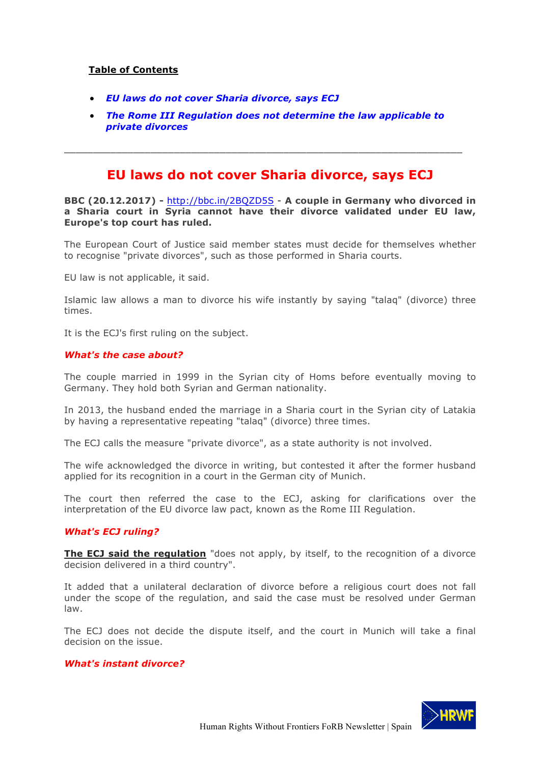### **Table of Contents**

- *EU laws do not cover Sharia divorce, says ECJ*
- *The Rome III Regulation does not determine the law applicable to private divorces*

\_\_\_\_\_\_\_\_\_\_\_\_\_\_\_\_\_\_\_\_\_\_\_\_\_\_\_\_\_\_\_\_\_\_\_\_\_\_\_\_\_\_\_\_\_\_\_\_\_\_\_\_\_\_\_\_\_\_\_\_\_\_\_\_\_\_\_\_\_

## **EU laws do not cover Sharia divorce, says ECJ**

**BBC (20.12.2017) -** http://bbc.in/2BQZD5S - **A couple in Germany who divorced in a Sharia court in Syria cannot have their divorce validated under EU law, Europe's top court has ruled.** 

The European Court of Justice said member states must decide for themselves whether to recognise "private divorces", such as those performed in Sharia courts.

EU law is not applicable, it said.

Islamic law allows a man to divorce his wife instantly by saying "talaq" (divorce) three times.

It is the ECJ's first ruling on the subject.

#### *What's the case about?*

The couple married in 1999 in the Syrian city of Homs before eventually moving to Germany. They hold both Syrian and German nationality.

In 2013, the husband ended the marriage in a Sharia court in the Syrian city of Latakia by having a representative repeating "talaq" (divorce) three times.

The ECJ calls the measure "private divorce", as a state authority is not involved.

The wife acknowledged the divorce in writing, but contested it after the former husband applied for its recognition in a court in the German city of Munich.

The court then referred the case to the ECJ, asking for clarifications over the interpretation of the EU divorce law pact, known as the Rome III Regulation.

#### *What's ECJ ruling?*

**The ECJ said the regulation** "does not apply, by itself, to the recognition of a divorce decision delivered in a third country".

It added that a unilateral declaration of divorce before a religious court does not fall under the scope of the regulation, and said the case must be resolved under German law.

The ECJ does not decide the dispute itself, and the court in Munich will take a final decision on the issue.

#### *What's instant divorce?*

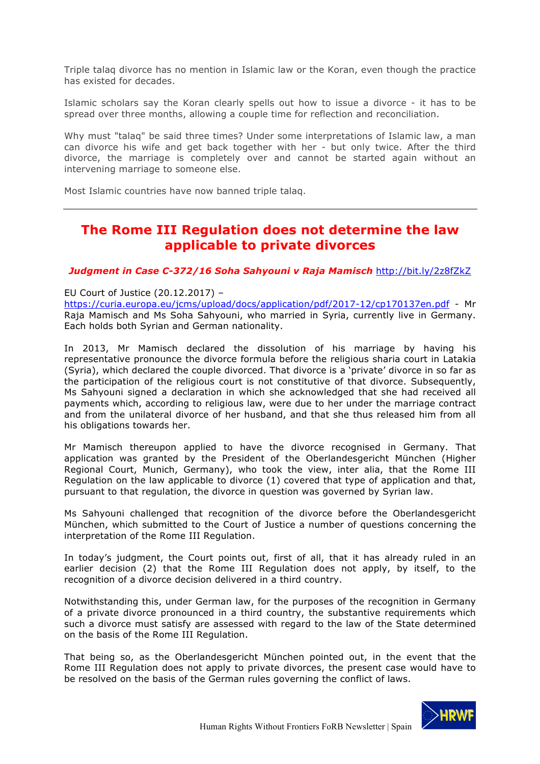Triple talaq divorce has no mention in Islamic law or the Koran, even though the practice has existed for decades.

Islamic scholars say the Koran clearly spells out how to issue a divorce - it has to be spread over three months, allowing a couple time for reflection and reconciliation.

Why must "talaq" be said three times? Under some interpretations of Islamic law, a man can divorce his wife and get back together with her - but only twice. After the third divorce, the marriage is completely over and cannot be started again without an intervening marriage to someone else.

Most Islamic countries have now banned triple talaq.

# **The Rome III Regulation does not determine the law applicable to private divorces**

#### *Judgment in Case C-372/16 Soha Sahyouni v Raja Mamisch* http://bit.ly/2z8fZkZ

EU Court of Justice (20.12.2017) –

https://curia.europa.eu/jcms/upload/docs/application/pdf/2017-12/cp170137en.pdf - Mr Raja Mamisch and Ms Soha Sahyouni, who married in Syria, currently live in Germany. Each holds both Syrian and German nationality.

In 2013, Mr Mamisch declared the dissolution of his marriage by having his representative pronounce the divorce formula before the religious sharia court in Latakia (Syria), which declared the couple divorced. That divorce is a 'private' divorce in so far as the participation of the religious court is not constitutive of that divorce. Subsequently, Ms Sahyouni signed a declaration in which she acknowledged that she had received all payments which, according to religious law, were due to her under the marriage contract and from the unilateral divorce of her husband, and that she thus released him from all his obligations towards her.

Mr Mamisch thereupon applied to have the divorce recognised in Germany. That application was granted by the President of the Oberlandesgericht München (Higher Regional Court, Munich, Germany), who took the view, inter alia, that the Rome III Regulation on the law applicable to divorce (1) covered that type of application and that, pursuant to that regulation, the divorce in question was governed by Syrian law.

Ms Sahyouni challenged that recognition of the divorce before the Oberlandesgericht München, which submitted to the Court of Justice a number of questions concerning the interpretation of the Rome III Regulation.

In today's judgment, the Court points out, first of all, that it has already ruled in an earlier decision (2) that the Rome III Regulation does not apply, by itself, to the recognition of a divorce decision delivered in a third country.

Notwithstanding this, under German law, for the purposes of the recognition in Germany of a private divorce pronounced in a third country, the substantive requirements which such a divorce must satisfy are assessed with regard to the law of the State determined on the basis of the Rome III Regulation.

That being so, as the Oberlandesgericht München pointed out, in the event that the Rome III Regulation does not apply to private divorces, the present case would have to be resolved on the basis of the German rules governing the conflict of laws.